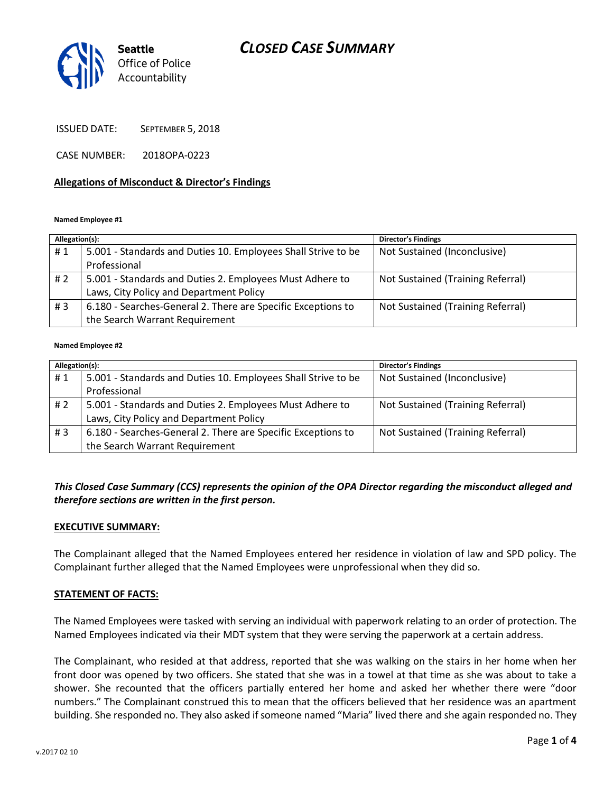# *CLOSED CASE SUMMARY*



ISSUED DATE: SEPTEMBER 5, 2018

CASE NUMBER: 2018OPA-0223

#### **Allegations of Misconduct & Director's Findings**

#### **Named Employee #1**

| Allegation(s): |                                                               | <b>Director's Findings</b>        |
|----------------|---------------------------------------------------------------|-----------------------------------|
| #1             | 5.001 - Standards and Duties 10. Employees Shall Strive to be | Not Sustained (Inconclusive)      |
|                | Professional                                                  |                                   |
| #2             | 5.001 - Standards and Duties 2. Employees Must Adhere to      | Not Sustained (Training Referral) |
|                | Laws, City Policy and Department Policy                       |                                   |
| #3             | 6.180 - Searches-General 2. There are Specific Exceptions to  | Not Sustained (Training Referral) |
|                | the Search Warrant Requirement                                |                                   |

#### **Named Employee #2**

| Allegation(s): |                                                               | Director's Findings               |
|----------------|---------------------------------------------------------------|-----------------------------------|
| #1             | 5.001 - Standards and Duties 10. Employees Shall Strive to be | Not Sustained (Inconclusive)      |
|                | Professional                                                  |                                   |
| # 2            | 5.001 - Standards and Duties 2. Employees Must Adhere to      | Not Sustained (Training Referral) |
|                | Laws, City Policy and Department Policy                       |                                   |
| # $3$          | 6.180 - Searches-General 2. There are Specific Exceptions to  | Not Sustained (Training Referral) |
|                | the Search Warrant Requirement                                |                                   |

### *This Closed Case Summary (CCS) represents the opinion of the OPA Director regarding the misconduct alleged and therefore sections are written in the first person.*

#### **EXECUTIVE SUMMARY:**

The Complainant alleged that the Named Employees entered her residence in violation of law and SPD policy. The Complainant further alleged that the Named Employees were unprofessional when they did so.

#### **STATEMENT OF FACTS:**

The Named Employees were tasked with serving an individual with paperwork relating to an order of protection. The Named Employees indicated via their MDT system that they were serving the paperwork at a certain address.

The Complainant, who resided at that address, reported that she was walking on the stairs in her home when her front door was opened by two officers. She stated that she was in a towel at that time as she was about to take a shower. She recounted that the officers partially entered her home and asked her whether there were "door numbers." The Complainant construed this to mean that the officers believed that her residence was an apartment building. She responded no. They also asked if someone named "Maria" lived there and she again responded no. They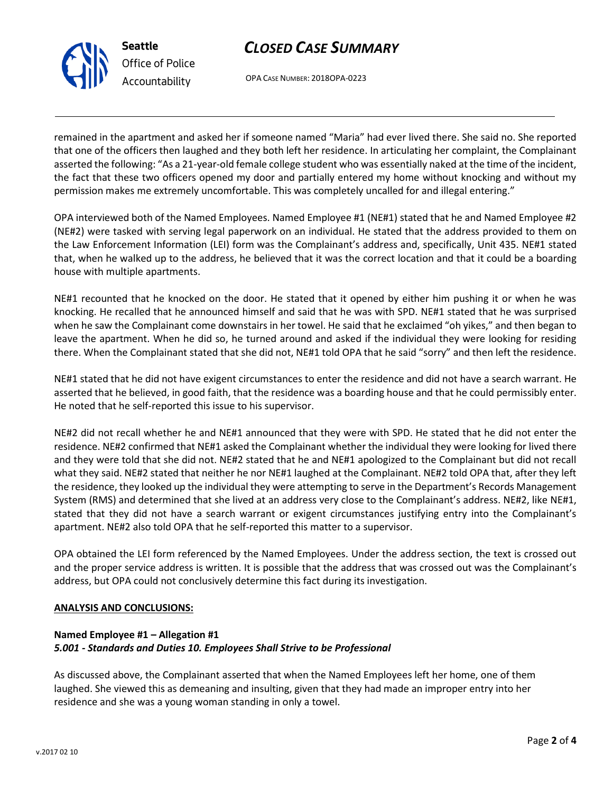



OPA CASE NUMBER: 2018OPA-0223

remained in the apartment and asked her if someone named "Maria" had ever lived there. She said no. She reported that one of the officers then laughed and they both left her residence. In articulating her complaint, the Complainant asserted the following: "As a 21-year-old female college student who was essentially naked at the time of the incident, the fact that these two officers opened my door and partially entered my home without knocking and without my permission makes me extremely uncomfortable. This was completely uncalled for and illegal entering."

OPA interviewed both of the Named Employees. Named Employee #1 (NE#1) stated that he and Named Employee #2 (NE#2) were tasked with serving legal paperwork on an individual. He stated that the address provided to them on the Law Enforcement Information (LEI) form was the Complainant's address and, specifically, Unit 435. NE#1 stated that, when he walked up to the address, he believed that it was the correct location and that it could be a boarding house with multiple apartments.

NE#1 recounted that he knocked on the door. He stated that it opened by either him pushing it or when he was knocking. He recalled that he announced himself and said that he was with SPD. NE#1 stated that he was surprised when he saw the Complainant come downstairs in her towel. He said that he exclaimed "oh yikes," and then began to leave the apartment. When he did so, he turned around and asked if the individual they were looking for residing there. When the Complainant stated that she did not, NE#1 told OPA that he said "sorry" and then left the residence.

NE#1 stated that he did not have exigent circumstances to enter the residence and did not have a search warrant. He asserted that he believed, in good faith, that the residence was a boarding house and that he could permissibly enter. He noted that he self-reported this issue to his supervisor.

NE#2 did not recall whether he and NE#1 announced that they were with SPD. He stated that he did not enter the residence. NE#2 confirmed that NE#1 asked the Complainant whether the individual they were looking for lived there and they were told that she did not. NE#2 stated that he and NE#1 apologized to the Complainant but did not recall what they said. NE#2 stated that neither he nor NE#1 laughed at the Complainant. NE#2 told OPA that, after they left the residence, they looked up the individual they were attempting to serve in the Department's Records Management System (RMS) and determined that she lived at an address very close to the Complainant's address. NE#2, like NE#1, stated that they did not have a search warrant or exigent circumstances justifying entry into the Complainant's apartment. NE#2 also told OPA that he self-reported this matter to a supervisor.

OPA obtained the LEI form referenced by the Named Employees. Under the address section, the text is crossed out and the proper service address is written. It is possible that the address that was crossed out was the Complainant's address, but OPA could not conclusively determine this fact during its investigation.

#### **ANALYSIS AND CONCLUSIONS:**

# **Named Employee #1 – Allegation #1** *5.001 - Standards and Duties 10. Employees Shall Strive to be Professional*

As discussed above, the Complainant asserted that when the Named Employees left her home, one of them laughed. She viewed this as demeaning and insulting, given that they had made an improper entry into her residence and she was a young woman standing in only a towel.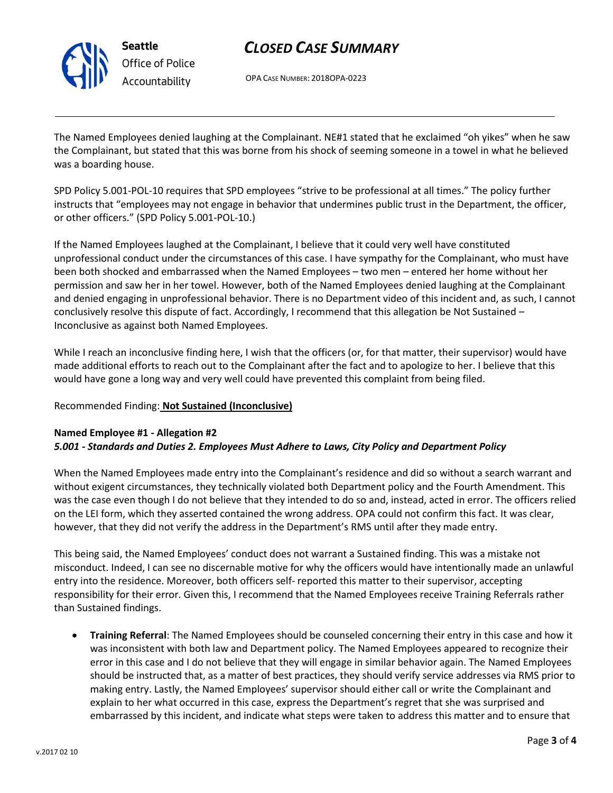

# *CLOSED CASE SUMMARY*

OPA CASE NUMBER: 2018OPA-0223

The Named Employees denied laughing at the Complainant. NE#1 stated that he exclaimed "oh yikes" when he saw the Complainant, but stated that this was borne from his shock of seeming someone in a towel in what he believed was a boarding house.

SPD Policy 5.001-POL-10 requires that SPD employees "strive to be professional at all times." The policy further instructs that "employees may not engage in behavior that undermines public trust in the Department, the officer, or other officers." (SPD Policy 5.001-POL-10.)

If the Named Employees laughed at the Complainant, I believe that it could very well have constituted unprofessional conduct under the circumstances of this case. I have sympathy for the Complainant, who must have been both shocked and embarrassed when the Named Employees – two men – entered her home without her permission and saw her in her towel. However, both of the Named Employees denied laughing at the Complainant and denied engaging in unprofessional behavior. There is no Department video of this incident and, as such, I cannot conclusively resolve this dispute of fact. Accordingly, I recommend that this allegation be Not Sustained – Inconclusive as against both Named Employees.

While I reach an inconclusive finding here, I wish that the officers (or, for that matter, their supervisor) would have made additional efforts to reach out to the Complainant after the fact and to apologize to her. I believe that this would have gone a long way and very well could have prevented this complaint from being filed.

# Recommended Finding: **Not Sustained (Inconclusive)**

### **Named Employee #1 - Allegation #2** *5.001 - Standards and Duties 2. Employees Must Adhere to Laws, City Policy and Department Policy*

When the Named Employees made entry into the Complainant's residence and did so without a search warrant and without exigent circumstances, they technically violated both Department policy and the Fourth Amendment. This was the case even though I do not believe that they intended to do so and, instead, acted in error. The officers relied on the LEI form, which they asserted contained the wrong address. OPA could not confirm this fact. It was clear, however, that they did not verify the address in the Department's RMS until after they made entry.

This being said, the Named Employees' conduct does not warrant a Sustained finding. This was a mistake not misconduct. Indeed, I can see no discernable motive for why the officers would have intentionally made an unlawful entry into the residence. Moreover, both officers self- reported this matter to their supervisor, accepting responsibility for their error. Given this, I recommend that the Named Employees receive Training Referrals rather than Sustained findings.

• **Training Referral**: The Named Employees should be counseled concerning their entry in this case and how it was inconsistent with both law and Department policy. The Named Employees appeared to recognize their error in this case and I do not believe that they will engage in similar behavior again. The Named Employees should be instructed that, as a matter of best practices, they should verify service addresses via RMS prior to making entry. Lastly, the Named Employees' supervisor should either call or write the Complainant and explain to her what occurred in this case, express the Department's regret that she was surprised and embarrassed by this incident, and indicate what steps were taken to address this matter and to ensure that